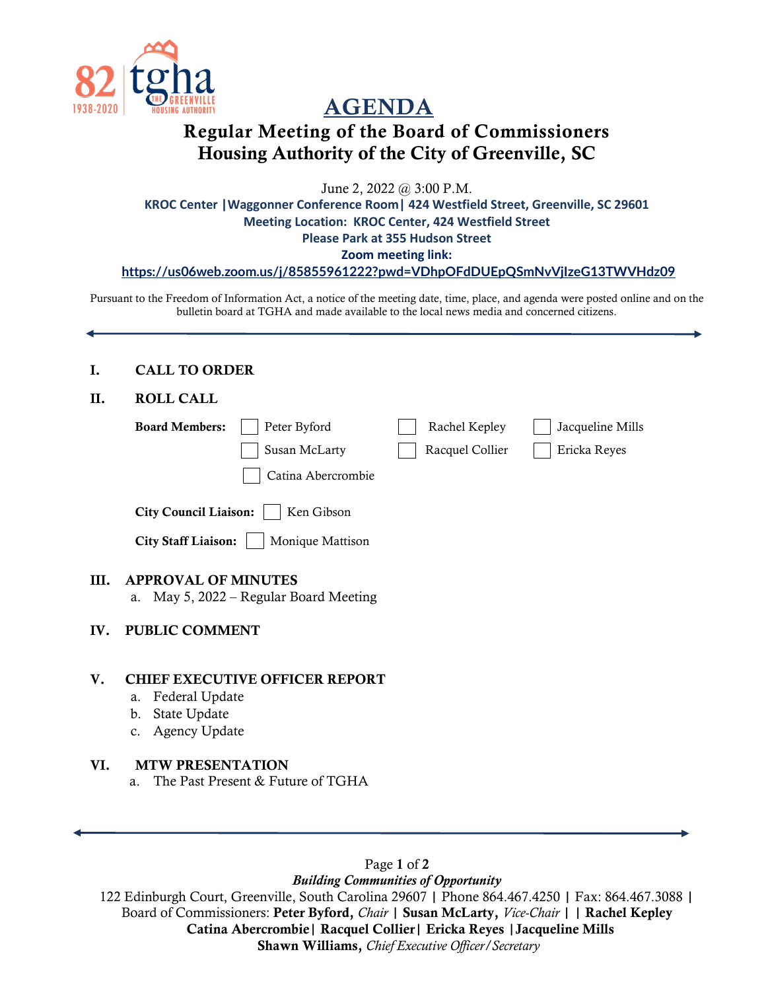

# AGENDA

# Regular Meeting of the Board of Commissioners Housing Authority of the City of Greenville, SC

June 2, 2022 @ 3:00 P.M.

**KROC Center |Waggonner Conference Room| 424 Westfield Street, Greenville, SC 29601 Meeting Location: KROC Center, 424 Westfield Street Please Park at 355 Hudson Street Zoom meeting link:** 

**<https://us06web.zoom.us/j/85855961222?pwd=VDhpOFdDUEpQSmNvVjIzeG13TWVHdz09>**

Pursuant to the Freedom of Information Act, a notice of the meeting date, time, place, and agenda were posted online and on the bulletin board at TGHA and made available to the local news media and concerned citizens.

#### I. CALL TO ORDER

#### II. ROLL CALL

|      | <b>Board Members:</b>                      | Peter Byford                           | Rachel Kepley   | Jacqueline Mills |
|------|--------------------------------------------|----------------------------------------|-----------------|------------------|
|      |                                            | Susan McLarty                          | Racquel Collier | Ericka Reyes     |
|      |                                            | Catina Abercrombie                     |                 |                  |
|      | <b>City Council Liaison:</b><br>Ken Gibson |                                        |                 |                  |
|      | <b>City Staff Liaison:</b>                 | Monique Mattison                       |                 |                  |
| III. | <b>APPROVAL OF MINUTES</b>                 | a. May 5, 2022 – Regular Board Meeting |                 |                  |
| IV.  | <b>PUBLIC COMMENT</b>                      |                                        |                 |                  |
| V.   |                                            | <b>CHIEF EXECUTIVE OFFICER REPORT</b>  |                 |                  |

- a. Federal Update
- b. State Update

IV.

c. Agency Update

#### VI. MTW PRESENTATION

a. The Past Present & Future of TGHA

Page 1 of 2 *Building Communities of Opportunity*

122 Edinburgh Court, Greenville, South Carolina 29607 | Phone 864.467.4250 | Fax: 864.467.3088 | Board of Commissioners: Peter Byford, *Chair* | Susan McLarty, *Vice-Chair* | | Rachel Kepley Catina Abercrombie| Racquel Collier| Ericka Reyes |Jacqueline Mills Shawn Williams, *Chief Executive Officer/Secretary*